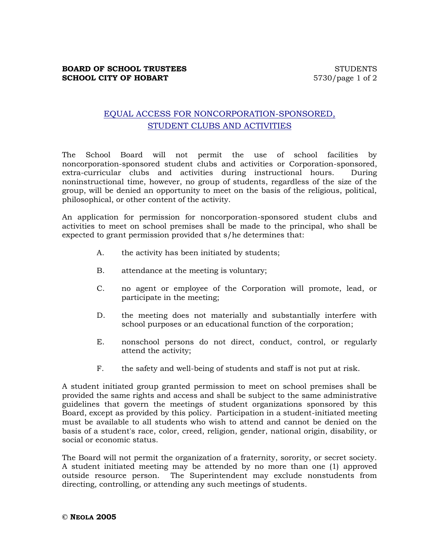## EQUAL ACCESS FOR NONCORPORATION-SPONSORED, STUDENT CLUBS AND ACTIVITIES

The School Board will not permit the use of school facilities by noncorporation-sponsored student clubs and activities or Corporation-sponsored, extra-curricular clubs and activities during instructional hours. During noninstructional time, however, no group of students, regardless of the size of the group, will be denied an opportunity to meet on the basis of the religious, political, philosophical, or other content of the activity.

An application for permission for noncorporation-sponsored student clubs and activities to meet on school premises shall be made to the principal, who shall be expected to grant permission provided that s/he determines that:

- A. the activity has been initiated by students;
- B. attendance at the meeting is voluntary;
- C. no agent or employee of the Corporation will promote, lead, or participate in the meeting;
- D. the meeting does not materially and substantially interfere with school purposes or an educational function of the corporation;
- E. nonschool persons do not direct, conduct, control, or regularly attend the activity;
- F. the safety and well-being of students and staff is not put at risk.

A student initiated group granted permission to meet on school premises shall be provided the same rights and access and shall be subject to the same administrative guidelines that govern the meetings of student organizations sponsored by this Board, except as provided by this policy. Participation in a student-initiated meeting must be available to all students who wish to attend and cannot be denied on the basis of a student's race, color, creed, religion, gender, national origin, disability, or social or economic status.

The Board will not permit the organization of a fraternity, sorority, or secret society. A student initiated meeting may be attended by no more than one (1) approved outside resource person. The Superintendent may exclude nonstudents from directing, controlling, or attending any such meetings of students.